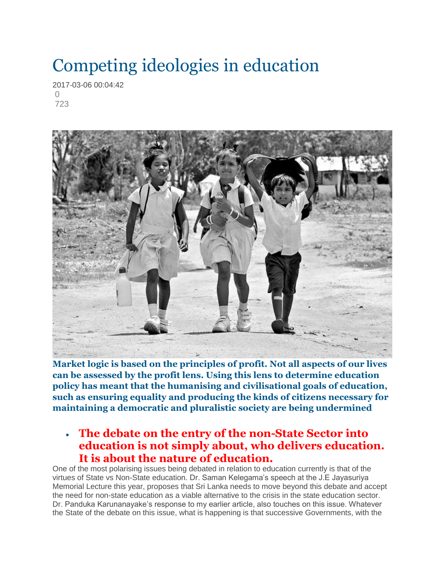## Competing ideologies in education

2017-03-06 00:04:42  $\bigcap$ 723



**Market logic is based on the principles of profit. Not all aspects of our lives can be assessed by the profit lens. Using this lens to determine education policy has meant that the humanising and civilisational goals of education, such as ensuring equality and producing the kinds of citizens necessary for maintaining a democratic and pluralistic society are being undermined**

## **The debate on the entry of the non-State Sector into education is not simply about, who delivers education. It is about the nature of education.**

One of the most polarising issues being debated in relation to education currently is that of the virtues of State vs Non-State education. Dr. Saman Kelegama's speech at the J.E Jayasuriya Memorial Lecture this year, proposes that Sri Lanka needs to move beyond this debate and accept the need for non-state education as a viable alternative to the crisis in the state education sector. Dr. Panduka Karunanayake's response to my earlier article, also touches on this issue. Whatever the State of the debate on this issue, what is happening is that successive Governments, with the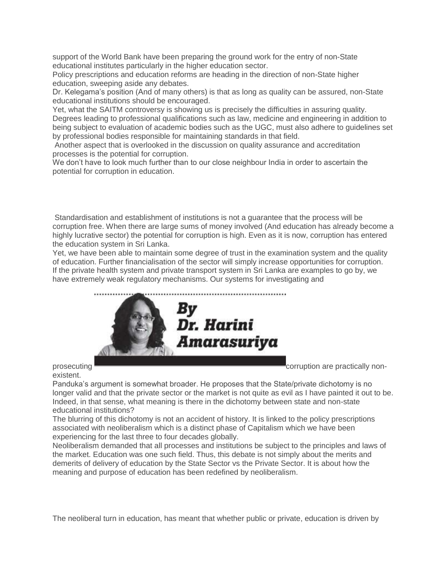support of the World Bank have been preparing the ground work for the entry of non-State educational institutes particularly in the higher education sector.

Policy prescriptions and education reforms are heading in the direction of non-State higher education, sweeping aside any debates.

Dr. Kelegama's position (And of many others) is that as long as quality can be assured, non-State educational institutions should be encouraged.

Yet, what the SAITM controversy is showing us is precisely the difficulties in assuring quality. Degrees leading to professional qualifications such as law, medicine and engineering in addition to being subject to evaluation of academic bodies such as the UGC, must also adhere to guidelines set by professional bodies responsible for maintaining standards in that field.

Another aspect that is overlooked in the discussion on quality assurance and accreditation processes is the potential for corruption.

We don't have to look much further than to our close neighbour India in order to ascertain the potential for corruption in education.

Standardisation and establishment of institutions is not a guarantee that the process will be corruption free. When there are large sums of money involved (And education has already become a highly lucrative sector) the potential for corruption is high. Even as it is now, corruption has entered the education system in Sri Lanka.

Yet, we have been able to maintain some degree of trust in the examination system and the quality of education. Further financialisation of the sector will simply increase opportunities for corruption. If the private health system and private transport system in Sri Lanka are examples to go by, we have extremely weak regulatory mechanisms. Our systems for investigating and



prosecuting **corruption** are practically non-

existent.

Panduka's argument is somewhat broader. He proposes that the State/private dichotomy is no longer valid and that the private sector or the market is not quite as evil as I have painted it out to be. Indeed, in that sense, what meaning is there in the dichotomy between state and non-state educational institutions?

The blurring of this dichotomy is not an accident of history. It is linked to the policy prescriptions associated with neoliberalism which is a distinct phase of Capitalism which we have been experiencing for the last three to four decades globally.

Neoliberalism demanded that all processes and institutions be subject to the principles and laws of the market. Education was one such field. Thus, this debate is not simply about the merits and demerits of delivery of education by the State Sector vs the Private Sector. It is about how the meaning and purpose of education has been redefined by neoliberalism.

The neoliberal turn in education, has meant that whether public or private, education is driven by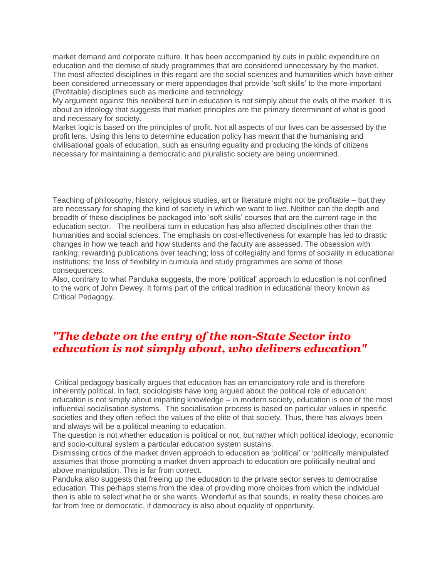market demand and corporate culture. It has been accompanied by cuts in public expenditure on education and the demise of study programmes that are considered unnecessary by the market. The most affected disciplines in this regard are the social sciences and humanities which have either been considered unnecessary or mere appendages that provide 'soft skills' to the more important (Profitable) disciplines such as medicine and technology.

My argument against this neoliberal turn in education is not simply about the evils of the market. It is about an ideology that suggests that market principles are the primary determinant of what is good and necessary for society.

Market logic is based on the principles of profit. Not all aspects of our lives can be assessed by the profit lens. Using this lens to determine education policy has meant that the humanising and civilisational goals of education, such as ensuring equality and producing the kinds of citizens necessary for maintaining a democratic and pluralistic society are being undermined.

Teaching of philosophy, history, religious studies, art or literature might not be profitable – but they are necessary for shaping the kind of society in which we want to live. Neither can the depth and breadth of these disciplines be packaged into 'soft skills' courses that are the current rage in the education sector. The neoliberal turn in education has also affected disciplines other than the humanities and social sciences. The emphasis on cost-effectiveness for example has led to drastic changes in how we teach and how students and the faculty are assessed. The obsession with ranking; rewarding publications over teaching; loss of collegiality and forms of sociality in educational institutions; the loss of flexibility in curricula and study programmes are some of those consequences.

Also, contrary to what Panduka suggests, the more 'political' approach to education is not confined to the work of John Dewey. It forms part of the critical tradition in educational theory known as Critical Pedagogy.

## *"The debate on the entry of the non-State Sector into education is not simply about, who delivers education"*

Critical pedagogy basically argues that education has an emancipatory role and is therefore inherently political. In fact, sociologists have long argued about the political role of education: education is not simply about imparting knowledge – in modern society, education is one of the most influential socialisation systems. The socialisation process is based on particular values in specific societies and they often reflect the values of the elite of that society. Thus, there has always been and always will be a political meaning to education.

The question is not whether education is political or not, but rather which political ideology, economic and socio-cultural system a particular education system sustains.

Dismissing critics of the market driven approach to education as 'political' or 'politically manipulated' assumes that those promoting a market driven approach to education are politically neutral and above manipulation. This is far from correct.

Panduka also suggests that freeing up the education to the private sector serves to democratise education. This perhaps stems from the idea of providing more choices from which the individual then is able to select what he or she wants. Wonderful as that sounds, in reality these choices are far from free or democratic, if democracy is also about equality of opportunity.